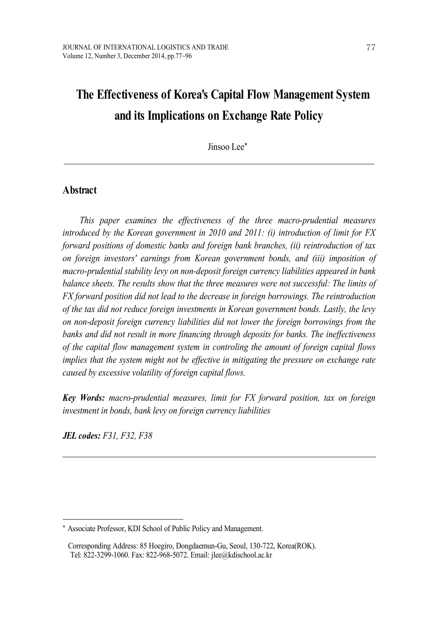# **The Effectiveness of Korea's Capital Flow Management System and its Implications on Exchange Rate Policy**

Jinsoo Lee\*

 $\_$  , and the state of the state of the state of the state of the state of the state of the state of the state of the state of the state of the state of the state of the state of the state of the state of the state of the

## **Abstract**

*This paper examines the ef ectiveness of the three macro-prudential measures introduced by the Korean government in 2010 and 2011: (i) introduction of limit for FX forward positions of domestic banks and foreign bank branches, (ii) reintroduction of tax on foreign investors' earnings from Korean government bonds, and (iii) imposition of macro-prudential stability levy on non-deposit foreign currency liabilities appeared in bank balance sheets. The results show that the three measures were not successful: The limits of FX forward position did not lead to the decrease in foreign borrowings. The reintroduction of the tax did not reduce foreign investments in Korean government bonds. Lastly, the levy on non-deposit foreign currency liabilities did not lower the foreign borrowings from the banks and did not result in more financing through deposits for banks. The inef ectiveness of the capital flow management system in controling the amount of foreign capital flows implies that the system might not be ef ective in mitigating the pressure on exchange rate caused by excessive volatility of foreign capital flows.*

*Key Words: macro-prudential measures, limit for FX forward position, tax on foreign investment in bonds, bank levy on foreign currency liabilities*

*JEL codes: F31, F32, F38*

<sup>\*</sup> Associate Professor, KDI School of Public Policy and Management.

Corresponding Address: 85 Hoegiro, Dongdaemun-Gu, Seoul, 130-722, Korea(ROK). Tel: 822-3299-1060. Fax: 822-968-5072. Email: jlee@kdischool.ac.kr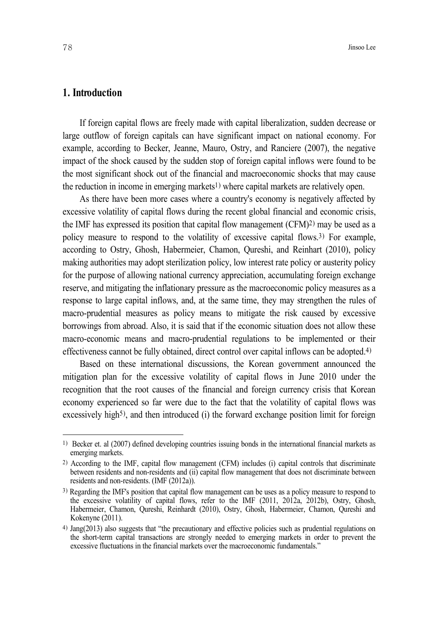## **1. Introduction**

If foreign capital flows are freely made with capital liberalization, sudden decrease or large outflow of foreign capitals can have significant impact on national economy. For example, according to Becker, Jeanne, Mauro, Ostry, and Ranciere (2007), the negative impact of the shock caused by the sudden stop of foreign capital inflows were found to be the most significant shock out of the financial and macroeconomic shocks that may cause the reduction in income in emerging markets 1) where capital markets are relatively open.

As there have been more cases where a country's economy is negatively affected by excessive volatility of capital flows during the recent global financial and economic crisis, the IMF has expressed its position that capital flow management (CFM) 2) may be used as a policy measure to respond to the volatility of excessive capital flows. 3) For example, according to Ostry, Ghosh, Habermeier, Chamon, Qureshi, and Reinhart (2010), policy making authorities may adopt sterilization policy, low interest rate policy or austerity policy for the purpose of allowing national currency appreciation, accumulating foreign exchange reserve, and mitigating the inflationary pressure as the macroeconomic policy measures as a response to large capital inflows, and, at the same time, they may strengthen the rules of macro-prudential measures as policy means to mitigate the risk caused by excessive borrowings from abroad. Also, it is said that if the economic situation does not allow these macro-economic means and macro-prudential regulations to be implemented or their effectiveness cannot be fully obtained, direct control over capital inflows can be adopted. 4)

Based on these international discussions, the Korean government announced the mitigation plan for the excessive volatility of capital flows in June 2010 under the recognition that the root causes of the financial and foreign currency crisis that Korean economy experienced so far were due to the fact that the volatility of capital flows was excessively high<sup>5</sup>), and then introduced (i) the forward exchange position limit for foreign

<sup>1)</sup> Becker et. al (2007) defined developing countries issuing bonds in the international financial markets as emerging markets.

<sup>2)</sup> According to the IMF, capital flow management (CFM) includes (i) capital controls that discriminate between residents and non-residents and (ii) capital flow management that does not discriminate between residents and non-residents. (IMF (2012a)).

<sup>3)</sup> Regarding the IMF's position that capital flow management can be uses as a policy measure to respond to the excessive volatility of capital flows, refer to the IMF (2011, 2012a, 2012b), Ostry, Ghosh, Habermeier, Chamon, Qureshi, Reinhardt (2010), Ostry, Ghosh, Habermeier, Chamon, Qureshi and Kokenyne (2011).

<sup>4)</sup> Jang(2013) also suggests that "the precautionary and effective policies such as prudential regulations on the short-term capital transactions are strongly needed to emerging markets in order to prevent the excessive fluctuations in the financial markets over the macroeconomic fundamentals."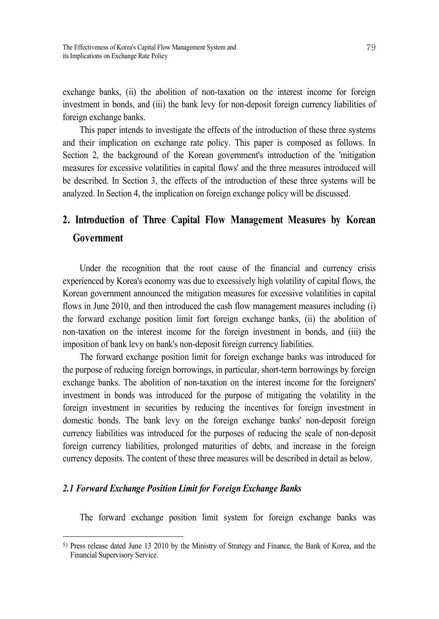exchange banks, (ii) the abolition of non-taxation on the interest income for foreign investment in bonds, and (iii) the bank levy for non-deposit foreign currency liabilities of foreign exchange banks.

This paper intends to investigate the effects of the introduction of these three systems and their implication on exchange rate policy. This paper is composed as follows. In Section 2, the background of the Korean government's introduction of the 'mitigation measures for excessive volatilities in capital flows' and the three measures introduced will be described. In Section 3, the effects of the introduction of these three systems will be analyzed. In Section 4, the implication on foreign exchange policy will be discussed.

## **2. Introduction of Three Capital Flow Management Measures by Korean Government**

Under the recognition that the root cause of the financial and currency crisis experienced by Korea's economy was due to excessively high volatility of capital flows, the Korean government announced the mitigation measures for excessive volatilities in capital flows in June 2010, and then introduced the cash flow management measures including (i) the forward exchange position limit fort foreign exchange banks, (ii) the abolition of non-taxation on the interest income for the foreign investment in bonds, and (iii) the imposition of bank levy on bank's non-deposit foreign currency liabilities.

The forward exchange position limit for foreign exchange banks was introduced for the purpose of reducing foreign borrowings, in particular, short-term borrowings by foreign exchange banks. The abolition of non-taxation on the interest income for the foreigners' investment in bonds was introduced for the purpose of mitigating the volatility in the foreign investment in securities by reducing the incentives for foreign investment in domestic bonds. The bank levy on the foreign exchange banks' non-deposit foreign currency liabilities was introduced for the purposes of reducing the scale of non-deposit foreign currency liabilities, prolonged maturities of debts, and increase in the foreign currency deposits. The content of these three measures will be described in detail as below.

## *2.1 Forward Exchange Position Limit for Foreign Exchange Banks*

The forward exchange position limit system for foreign exchange banks was

<sup>5)</sup> Press release dated June 13 2010 by the Ministry of Strategy and Finance, the Bank of Korea, and the Financial Supervisory Service.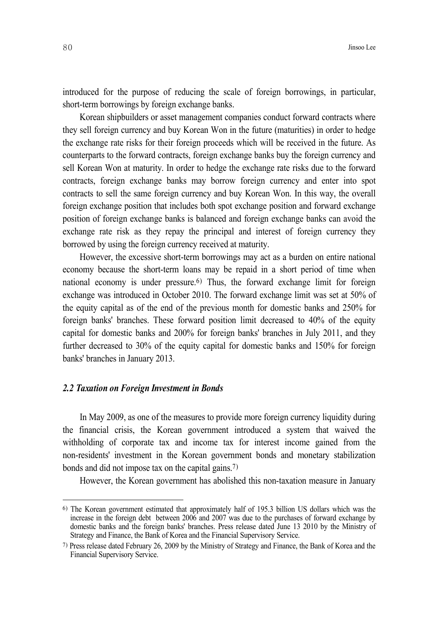introduced for the purpose of reducing the scale of foreign borrowings, in particular, short-term borrowings by foreign exchange banks.

Korean shipbuilders or asset management companies conduct forward contracts where they sell foreign currency and buy Korean Won in the future (maturities) in order to hedge the exchange rate risks for their foreign proceeds which will be received in the future. As counterparts to the forward contracts, foreign exchange banks buy the foreign currency and sell Korean Won at maturity. In order to hedge the exchange rate risks due to the forward contracts, foreign exchange banks may borrow foreign currency and enter into spot contracts to sell the same foreign currency and buy Korean Won. In this way, the overall foreign exchange position that includes both spot exchange position and forward exchange position of foreign exchange banks is balanced and foreign exchange banks can avoid the exchange rate risk as they repay the principal and interest of foreign currency they borrowed by using the foreign currency received at maturity.

However, the excessive short-term borrowings may act as a burden on entire national economy because the short-term loans may be repaid in a short period of time when national economy is under pressure. 6) Thus, the forward exchange limit for foreign exchange was introduced in October 2010. The forward exchange limit was set at 50% of the equity capital as of the end of the previous month for domestic banks and 250% for foreign banks' branches. These forward position limit decreased to 40% of the equity capital for domestic banks and 200% for foreign banks' branches in July 2011, and they further decreased to 30% of the equity capital for domestic banks and 150% for foreign banks' branches in January 2013.

#### *2.2 Taxation on Foreign Investment in Bonds*

In May 2009, as one of the measures to provide more foreign currency liquidity during the financial crisis, the Korean government introduced a system that waived the withholding of corporate tax and income tax for interest income gained from the non-residents' investment in the Korean government bonds and monetary stabilization bonds and did not impose tax on the capital gains. 7)

However, the Korean government has abolished this non-taxation measure in January

<sup>6)</sup> The Korean government estimated that approximately half of 195.3 billion US dollars which was the increase in the foreign debt between 2006 and 2007 was due to the purchases of forward exchange by domestic banks and the foreign banks' branches. Press release dated June 13 2010 by the Ministry of Strategy and Finance, the Bank of Korea and the Financial Supervisory Service.

<sup>7)</sup> Press release dated February 26, 2009 by the Ministry of Strategy and Finance, the Bank of Korea and the Financial Supervisory Service.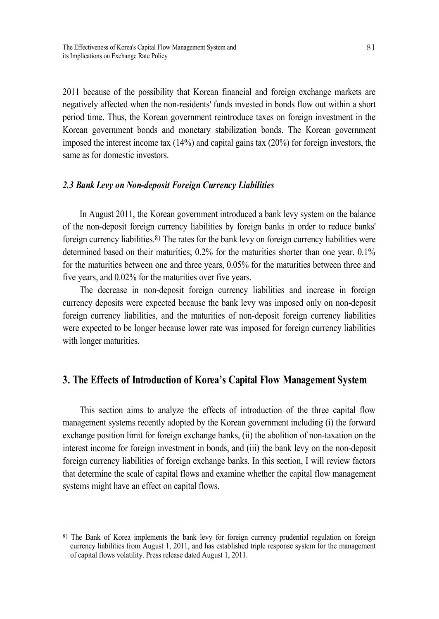2011 because of the possibility that Korean financial and foreign exchange markets are negatively affected when the non-residents' funds invested in bonds flow out within a short period time. Thus, the Korean government reintroduce taxes on foreign investment in the Korean government bonds and monetary stabilization bonds. The Korean government imposed the interest income tax (14%) and capital gains tax (20%) for foreign investors, the same as for domestic investors.

#### *2.3 Bank Levy on Non-deposit Foreign Currency Liabilities*

In August 2011, the Korean government introduced a bank levy system on the balance of the non-deposit foreign currency liabilities by foreign banks in order to reduce banks' foreign currency liabilities. 8) The rates for the bank levy on foreign currency liabilities were determined based on their maturities;  $0.2\%$  for the maturities shorter than one year.  $0.1\%$ for the maturities between one and three years, 0.05% for the maturities between three and five years, and 0.02% for the maturities over five years.

The decrease in non-deposit foreign currency liabilities and increase in foreign currency deposits were expected because the bank levy was imposed only on non-deposit foreign currency liabilities, and the maturities of non-deposit foreign currency liabilities were expected to be longer because lower rate was imposed for foreign currency liabilities with longer maturities.

## **3. The Effects of Introduction of Korea's Capital Flow Management System**

This section aims to analyze the effects of introduction of the three capital flow management systems recently adopted by the Korean government including (i) the forward exchange position limit for foreign exchange banks, (ii) the abolition of non-taxation on the interest income for foreign investment in bonds, and (iii) the bank levy on the non-deposit foreign currency liabilities of foreign exchange banks. In this section, I will review factors that determine the scale of capital flows and examine whether the capital flow management systems might have an effect on capital flows.

<sup>8)</sup> The Bank of Korea implements the bank levy for foreign currency prudential regulation on foreign currency liabilities from August 1, 2011, and has established triple response system for the management of capital flows volatility. Press release dated August 1, 2011.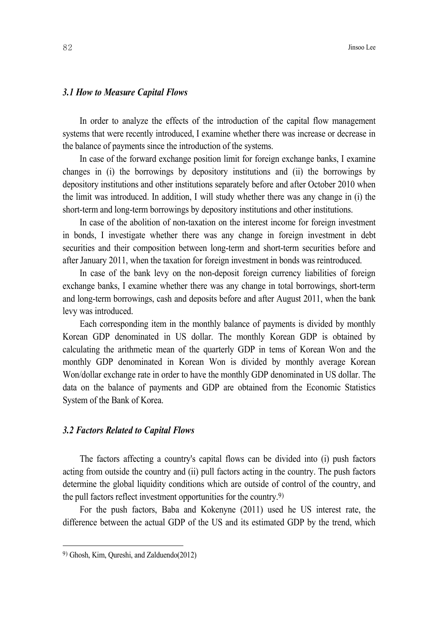#### *3.1 How to Measure Capital Flows*

In order to analyze the effects of the introduction of the capital flow management systems that were recently introduced, I examine whether there was increase or decrease in the balance of payments since the introduction of the systems.

In case of the forward exchange position limit for foreign exchange banks, I examine changes in (i) the borrowings by depository institutions and (ii) the borrowings by depository institutions and other institutions separately before and after October 2010 when the limit was introduced. In addition, I will study whether there was any change in (i) the short-term and long-term borrowings by depository institutions and other institutions.

In case of the abolition of non-taxation on the interest income for foreign investment in bonds, I investigate whether there was any change in foreign investment in debt securities and their composition between long-term and short-term securities before and after January 2011, when the taxation for foreign investment in bonds was reintroduced.

In case of the bank levy on the non-deposit foreign currency liabilities of foreign exchange banks, I examine whether there was any change in total borrowings, short-term and long-term borrowings, cash and deposits before and after August 2011, when the bank levy was introduced.

Each corresponding item in the monthly balance of payments is divided by monthly Korean GDP denominated in US dollar. The monthly Korean GDP is obtained by calculating the arithmetic mean of the quarterly GDP in tems of Korean Won and the monthly GDP denominated in Korean Won is divided by monthly average Korean Won/dollar exchange rate in order to have the monthly GDP denominated in US dollar. The data on the balance of payments and GDP are obtained from the Economic Statistics System of the Bank of Korea.

#### *3.2 Factors Related to Capital Flows*

The factors affecting a country's capital flows can be divided into (i) push factors acting from outside the country and (ii) pull factors acting in the country. The push factors determine the global liquidity conditions which are outside of control of the country, and the pull factors reflect investment opportunities for the country. 9)

For the push factors, Baba and Kokenyne (2011) used he US interest rate, the difference between the actual GDP of the US and its estimated GDP by the trend, which

<sup>9)</sup> Ghosh, Kim, Qureshi, and Zalduendo(2012)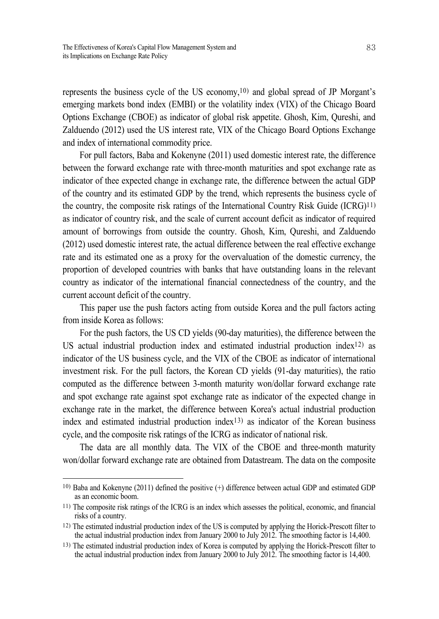represents the business cycle of the US economy, 10) and global spread of JP Morgant's emerging markets bond index (EMBI) or the volatility index (VIX) of the Chicago Board Options Exchange (CBOE) as indicator of global risk appetite. Ghosh, Kim, Qureshi, and Zalduendo (2012) used the US interest rate, VIX of the Chicago Board Options Exchange and index of international commodity price.

For pull factors, Baba and Kokenyne (2011) used domestic interest rate, the difference between the forward exchange rate with three-month maturities and spot exchange rate as indicator of thee expected change in exchange rate, the difference between the actual GDP of the country and its estimated GDP by the trend, which represents the business cycle of the country, the composite risk ratings of the International Country Risk Guide (ICRG) 11) as indicator of country risk, and the scale of current account deficit as indicator of required amount of borrowings from outside the country. Ghosh, Kim, Qureshi, and Zalduendo (2012) used domestic interest rate, the actual difference between the real effective exchange rate and its estimated one as a proxy for the overvaluation of the domestic currency, the proportion of developed countries with banks that have outstanding loans in the relevant country as indicator of the international financial connectedness of the country, and the current account deficit of the country.

This paper use the push factors acting from outside Korea and the pull factors acting from inside Korea as follows:

For the push factors, the US CD yields (90-day maturities), the difference between the US actual industrial production index and estimated industrial production index12) as indicator of the US business cycle, and the VIX of the CBOE as indicator of international investment risk. For the pull factors, the Korean CD yields (91-day maturities), the ratio computed as the difference between 3-month maturity won/dollar forward exchange rate and spot exchange rate against spot exchange rate as indicator of the expected change in exchange rate in the market, the difference between Korea's actual industrial production index and estimated industrial production index13) as indicator of the Korean business cycle, and the composite risk ratings of the ICRG as indicator of national risk.

The data are all monthly data. The VIX of the CBOE and three-month maturity won/dollar forward exchange rate are obtained from Datastream. The data on the composite

<sup>10)</sup> Baba and Kokenyne (2011) defined the positive (+) difference between actual GDP and estimated GDP as an economic boom.

<sup>11)</sup> The composite risk ratings of the ICRG is an index which assesses the political, economic, and financial risks of a country.

<sup>12)</sup> The estimated industrial production index of the US is computed by applying the Horick-Prescott filter to the actual industrial production index from January 2000 to July 2012. The smoothing factor is 14,400.

<sup>13)</sup> The estimated industrial production index of Korea is computed by applying the Horick-Prescott filter to the actual industrial production index from January 2000 to July 2012. The smoothing factor is 14,400.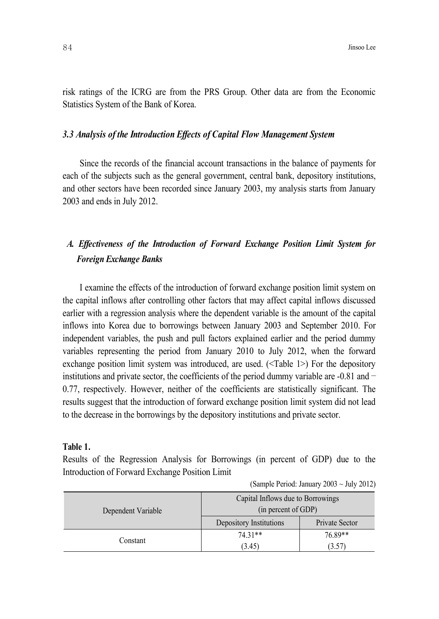risk ratings of the ICRG are from the PRS Group. Other data are from the Economic Statistics System of the Bank of Korea.

#### *3.3 Analysis of the Introduction Ef ects of Capital Flow Management System*

Since the records of the financial account transactions in the balance of payments for each of the subjects such as the general government, central bank, depository institutions, and other sectors have been recorded since January 2003, my analysis starts from January 2003 and ends in July 2012.

## *A. Ef ectiveness of the Introduction of Forward Exchange Position Limit System for Foreign Exchange Banks*

I examine the effects of the introduction of forward exchange position limit system on the capital inflows after controlling other factors that may affect capital inflows discussed earlier with a regression analysis where the dependent variable is the amount of the capital inflows into Korea due to borrowings between January 2003 and September 2010. For independent variables, the push and pull factors explained earlier and the period dummy variables representing the period from January 2010 to July 2012, when the forward exchange position limit system was introduced, are used. (<Table 1>) For the depository institutions and private sector, the coefficients of the period dummy variable are  $-0.81$  and  $-$ 0.77, respectively. However, neither of the coefficients are statistically significant. The results suggest that the introduction of forward exchange position limit system did not lead to the decrease in the borrowings by the depository institutions and private sector.

#### **Table 1.**

Results of the Regression Analysis for Borrowings (in percent of GDP) due to the Introduction of Forward Exchange Position Limit

|                    | Capital Inflows due to Borrowings                                |         |
|--------------------|------------------------------------------------------------------|---------|
| Dependent Variable | (in percent of GDP)<br>Depository Institutions<br>Private Sector |         |
|                    | 74 31**                                                          | 76.89** |
| Constant           | (3.45)                                                           | (3.57)  |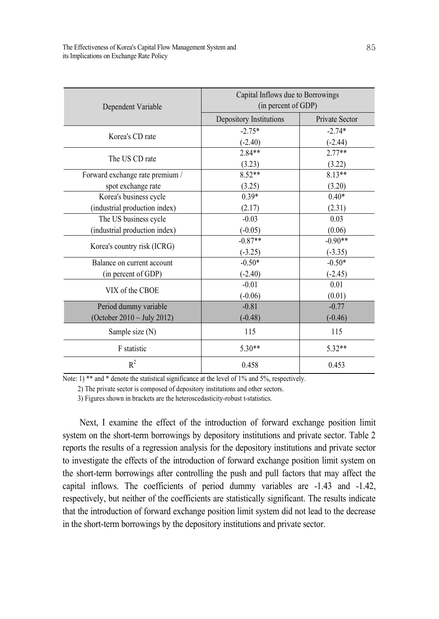| Dependent Variable              | Capital Inflows due to Borrowings<br>(in percent of GDP) |                |
|---------------------------------|----------------------------------------------------------|----------------|
|                                 | Depository Institutions                                  | Private Sector |
| Korea's CD rate                 | $-2.75*$                                                 | $-2.74*$       |
|                                 | $(-2.40)$                                                | $(-2.44)$      |
| The US CD rate                  | $2.84**$                                                 | $2.77**$       |
|                                 | (3.23)                                                   | (3.22)         |
| Forward exchange rate premium / | $8.52**$                                                 | $8.13**$       |
| spot exchange rate              | (3.25)                                                   | (3.20)         |
| Korea's business cycle          | $0.39*$                                                  | $0.40*$        |
| (industrial production index)   | (2.17)                                                   | (2.31)         |
| The US business cycle           | $-0.03$                                                  | 0.03           |
| (industrial production index)   | $(-0.05)$                                                | (0.06)         |
|                                 | $-0.87**$                                                | $-0.90**$      |
| Korea's country risk (ICRG)     | $(-3.25)$                                                | $(-3.35)$      |
| Balance on current account      | $-0.50*$                                                 | $-0.50*$       |
| (in percent of GDP)             | $(-2.40)$                                                | $(-2.45)$      |
| VIX of the CBOE                 | $-0.01$                                                  | 0.01           |
|                                 | $(-0.06)$                                                | (0.01)         |
| Period dummy variable           | $-0.81$                                                  | $-0.77$        |
| (October 2010 $\sim$ July 2012) | $(-0.48)$                                                | $(-0.46)$      |
| Sample size (N)                 | 115                                                      | 115            |
| F statistic                     | $5.30**$                                                 | $5.32**$       |
| $R^2$                           | 0.458                                                    | 0.453          |

2) The private sector is composed of depository institutions and other sectors.

3) Figures shown in brackets are the heteroscedasticity-robust t-statistics.

Next, I examine the effect of the introduction of forward exchange position limit system on the short-term borrowings by depository institutions and private sector. Table 2 reports the results of a regression analysis for the depository institutions and private sector to investigate the effects of the introduction of forward exchange position limit system on the short-term borrowings after controlling the push and pull factors that may affect the capital inflows. The coefficients of period dummy variables are -1.43 and -1.42, respectively, but neither of the coefficients are statistically significant. The results indicate that the introduction of forward exchange position limit system did not lead to the decrease in the short-term borrowings by the depository institutions and private sector.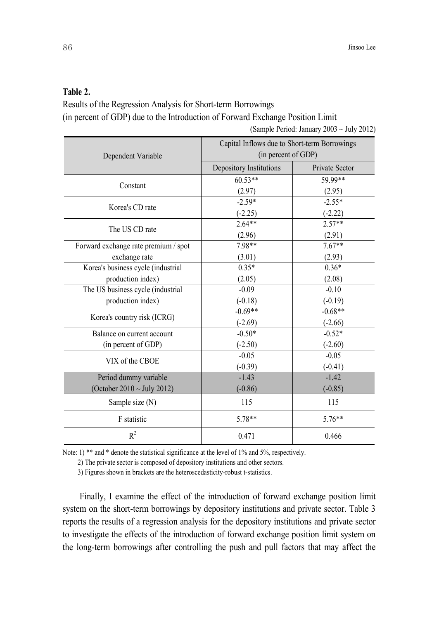## **Table 2.**

Results of the Regression Analysis for Short-term Borrowings (in percent of GDP) due to the Introduction of Forward Exchange Position Limit

(Sample Period: January 2003 ~ July 2012)

| Dependent Variable                   | Capital Inflows due to Short-term Borrowings<br>(in percent of GDP) |                |
|--------------------------------------|---------------------------------------------------------------------|----------------|
|                                      | Depository Institutions                                             | Private Sector |
|                                      | $60.53**$                                                           | 59.99**        |
| Constant                             | (2.97)                                                              | (2.95)         |
| Korea's CD rate                      | $-2.59*$                                                            | $-2.55*$       |
|                                      | $(-2.25)$                                                           | $(-2.22)$      |
| The US CD rate                       | $2.64**$                                                            | $2.57**$       |
|                                      | (2.96)                                                              | (2.91)         |
| Forward exchange rate premium / spot | 7.98**                                                              | $7.67**$       |
| exchange rate                        | (3.01)                                                              | (2.93)         |
| Korea's business cycle (industrial   | $0.35*$                                                             | $0.36*$        |
| production index)                    | (2.05)                                                              | (2.08)         |
| The US business cycle (industrial    | $-0.09$                                                             | $-0.10$        |
| production index)                    | $(-0.18)$                                                           | $(-0.19)$      |
|                                      | $-0.69**$                                                           | $-0.68**$      |
| Korea's country risk (ICRG)          | $(-2.69)$                                                           | $(-2.66)$      |
| Balance on current account           | $-0.50*$                                                            | $-0.52*$       |
| (in percent of GDP)                  | $(-2.50)$                                                           | $(-2.60)$      |
| VIX of the CBOE                      | $-0.05$                                                             | $-0.05$        |
|                                      | $(-0.39)$                                                           | $(-0.41)$      |
| Period dummy variable                | $-1.43$                                                             | $-1.42$        |
| (October 2010 $\sim$ July 2012)      | $(-0.86)$                                                           | $(-0.85)$      |
| Sample size (N)                      | 115                                                                 | 115            |
| F statistic                          | $5.78**$                                                            | $5.76**$       |
| $R^2$                                | 0.471                                                               | 0.466          |

Note: 1) \*\* and \* denote the statistical significance at the level of 1% and 5%, respectively.

2) The private sector is composed of depository institutions and other sectors.

3) Figures shown in brackets are the heteroscedasticity-robust t-statistics.

Finally, I examine the effect of the introduction of forward exchange position limit system on the short-term borrowings by depository institutions and private sector. Table 3 reports the results of a regression analysis for the depository institutions and private sector to investigate the effects of the introduction of forward exchange position limit system on the long-term borrowings after controlling the push and pull factors that may affect the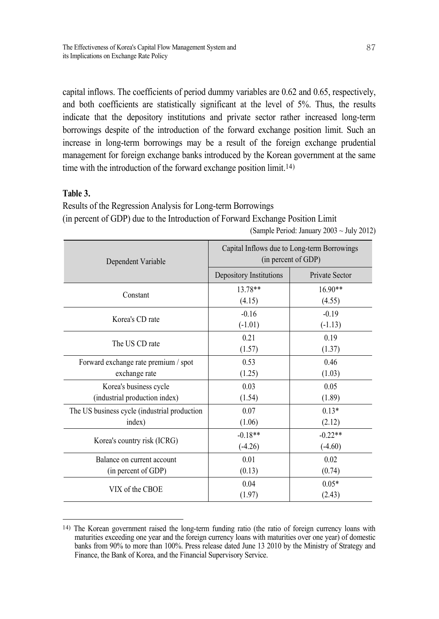capital inflows. The coefficients of period dummy variables are 0.62 and 0.65, respectively, and both coefficients are statistically significant at the level of 5%. Thus, the results indicate that the depository institutions and private sector rather increased long-term borrowings despite of the introduction of the forward exchange position limit. Such an increase in long-term borrowings may be a result of the foreign exchange prudential management for foreign exchange banks introduced by the Korean government at the same time with the introduction of the forward exchange position limit. 14)

## **Table 3.**

Results of the Regression Analysis for Long-term Borrowings (in percent of GDP) due to the Introduction of Forward Exchange Position Limit (Sample Period: January 2003 ~ July 2012)

| Dependent Variable                           | Capital Inflows due to Long-term Borrowings<br>(in percent of GDP) |                       |
|----------------------------------------------|--------------------------------------------------------------------|-----------------------|
|                                              | Depository Institutions                                            | <b>Private Sector</b> |
| Constant                                     | 13.78**                                                            | $16.90**$             |
|                                              | (4.15)                                                             | (4.55)                |
| Korea's CD rate                              | $-0.16$                                                            | $-0.19$               |
|                                              | $(-1.01)$                                                          | $(-1.13)$             |
| The US CD rate                               | 0.21                                                               | 0.19                  |
|                                              | (1.57)                                                             | (1.37)                |
| Forward exchange rate premium / spot         | 0.53                                                               | 0.46                  |
| exchange rate                                | (1.25)                                                             | (1.03)                |
| Korea's business cycle                       | 0.03                                                               | 0.05                  |
| (industrial production index)                | (1.54)                                                             | (1.89)                |
| The US business cycle (industrial production | 0.07                                                               | $0.13*$               |
| index)                                       | (1.06)                                                             | (2.12)                |
|                                              | $-0.18**$                                                          | $-0.22**$             |
| Korea's country risk (ICRG)                  | $(-4.26)$                                                          | $(-4.60)$             |
| Balance on current account                   | 0.01                                                               | 0.02                  |
| (in percent of GDP)                          | (0.13)                                                             | (0.74)                |
|                                              | 0.04                                                               | $0.05*$               |
| VIX of the CBOE                              | (1.97)                                                             | (2.43)                |

<sup>14)</sup> The Korean government raised the long-term funding ratio (the ratio of foreign currency loans with maturities exceeding one year and the foreign currency loans with maturities over one year) of domestic banks from 90% to more than 100%. Press release dated June 13 2010 by the Ministry of Strategy and Finance, the Bank of Korea, and the Financial Supervisory Service.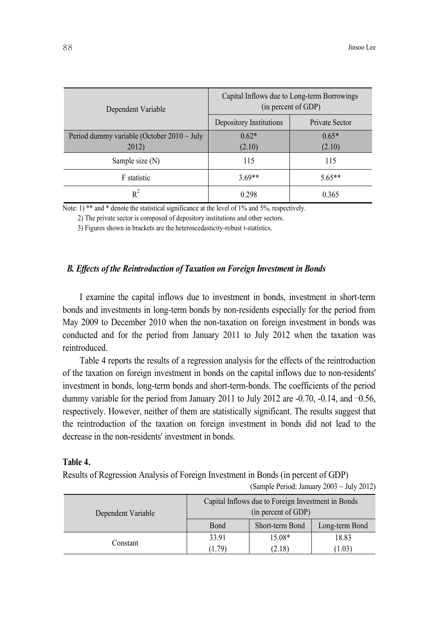| Dependent Variable                              | Capital Inflows due to Long-term Borrowings<br>(in percent of GDP) |                |
|-------------------------------------------------|--------------------------------------------------------------------|----------------|
|                                                 | Depository Institutions                                            | Private Sector |
| Period dummy variable (October $2010 \sim$ July | $0.62*$                                                            | $0.65*$        |
| 2012)                                           | (2.10)                                                             | (2.10)         |
| Sample size (N)                                 | 115                                                                | 115            |
| F statistic                                     | $3.69**$                                                           | $5.65**$       |
| $R^2$                                           | 0.298                                                              | 0.365          |

2) The private sector is composed of depository institutions and other sectors.

3) Figures shown in brackets are the heteroscedasticity-robust t-statistics.

#### *B. Ef ects of the Reintroduction of Taxation on Foreign Investment in Bonds*

I examine the capital inflows due to investment in bonds, investment in short-term bonds and investments in long-term bonds by non-residents especially for the period from May 2009 to December 2010 when the non-taxation on foreign investment in bonds was conducted and for the period from January 2011 to July 2012 when the taxation was reintroduced.

Table 4 reports the results of a regression analysis for the effects of the reintroduction of the taxation on foreign investment in bonds on the capital inflows due to non-residents' investment in bonds, long-term bonds and short-term-bonds. The coefficients of the period dummy variable for the period from January 2011 to July 2012 are -0.70, -0.14, and –0.56, respectively. However, neither of them are statistically significant. The results suggest that the reintroduction of the taxation on foreign investment in bonds did not lead to the decrease in the non-residents' investment in bonds.

#### **Table 4.**

Results of Regression Analysis of Foreign Investment in Bonds (in percent of GDP)

|                    | Capital Inflows due to Foreign Investment in Bonds |                 |                |
|--------------------|----------------------------------------------------|-----------------|----------------|
| Dependent Variable | (in percent of GDP)                                |                 |                |
|                    | Bond                                               | Short-term Bond | Long-term Bond |
|                    | 33.91                                              | 15.08*          | 18.83          |
| Constant           | (1.79)                                             | (2.18)          | (1.03)         |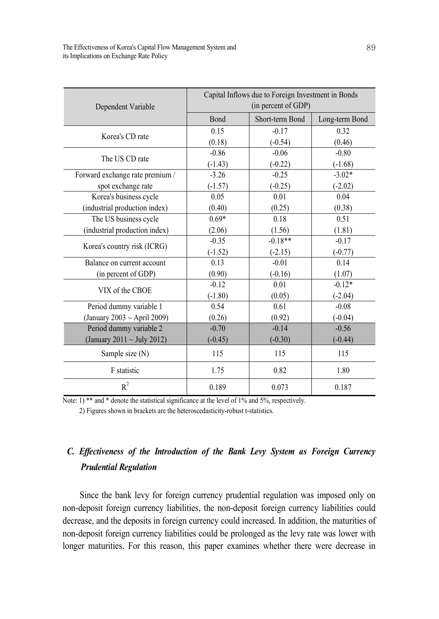|                                 | Capital Inflows due to Foreign Investment in Bonds |                 |                |
|---------------------------------|----------------------------------------------------|-----------------|----------------|
| Dependent Variable              | (in percent of GDP)                                |                 |                |
|                                 | Bond                                               | Short-term Bond | Long-term Bond |
|                                 | 0.15                                               | $-0.17$         | 0.32           |
| Korea's CD rate                 | (0.18)                                             | $(-0.54)$       | (0.46)         |
| The US CD rate                  | $-0.86$                                            | $-0.06$         | $-0.80$        |
|                                 | $(-1.43)$                                          | $(-0.22)$       | $(-1.68)$      |
| Forward exchange rate premium / | $-3.26$                                            | $-0.25$         | $-3.02*$       |
| spot exchange rate              | $(-1.57)$                                          | $(-0.25)$       | $(-2.02)$      |
| Korea's business cycle          | 0.05                                               | 0.01            | 0.04           |
| (industrial production index)   | (0.40)                                             | (0.25)          | (0.38)         |
| The US business cycle           | $0.69*$                                            | 0.18            | 0.51           |
| (industrial production index)   | (2.06)                                             | (1.56)          | (1.81)         |
| Korea's country risk (ICRG)     | $-0.35$                                            | $-0.18**$       | $-0.17$        |
|                                 | $(-1.52)$                                          | $(-2.15)$       | $(-0.77)$      |
| Balance on current account      | 0.13                                               | $-0.01$         | 0.14           |
| (in percent of GDP)             | (0.90)                                             | $(-0.16)$       | (1.07)         |
| VIX of the CBOE                 | $-0.12$                                            | 0.01            | $-0.12*$       |
|                                 | $(-1.80)$                                          | (0.05)          | $(-2.04)$      |
| Period dummy variable 1         | 0.54                                               | 0.61            | $-0.08$        |
| (January 2003 ~ April 2009)     | (0.26)                                             | (0.92)          | $(-0.04)$      |
| Period dummy variable 2         | $-0.70$                                            | $-0.14$         | $-0.56$        |
| (January 2011 ~ July 2012)      | $(-0.45)$                                          | $(-0.30)$       | $(-0.44)$      |
| Sample size (N)                 | 115                                                | 115             | 115            |
| F statistic                     | 1.75                                               | 0.82            | 1.80           |
| $R^2$                           | 0.189                                              | 0.073           | 0.187          |

2) Figures shown in brackets are the heteroscedasticity-robust t-statistics.

## *C. Ef ectiveness of the Introduction of the Bank Levy System as Foreign Currency Prudential Regulation*

Since the bank levy for foreign currency prudential regulation was imposed only on non-deposit foreign currency liabilities, the non-deposit foreign currency liabilities could decrease, and the deposits in foreign currency could increased. In addition, the maturities of non-deposit foreign currency liabilities could be prolonged as the levy rate was lower with longer maturities. For this reason, this paper examines whether there were decrease in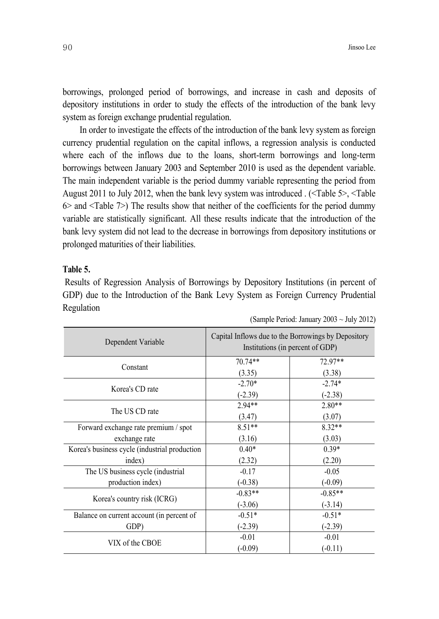borrowings, prolonged period of borrowings, and increase in cash and deposits of depository institutions in order to study the effects of the introduction of the bank levy system as foreign exchange prudential regulation.

In order to investigate the effects of the introduction of the bank levy system as foreign currency prudential regulation on the capital inflows, a regression analysis is conducted where each of the inflows due to the loans, short-term borrowings and long-term borrowings between January 2003 and September 2010 is used as the dependent variable. The main independent variable is the period dummy variable representing the period from August 2011 to July 2012, when the bank levy system was introduced . (<Table 5>, <Table  $6$  and  $\le$ Table  $7$ ) The results show that neither of the coefficients for the period dummy variable are statistically significant. All these results indicate that the introduction of the bank levy system did not lead to the decrease in borrowings from depository institutions or prolonged maturities of their liabilities.

#### **Table 5.**

Results of Regression Analysis of Borrowings by Depository Institutions (in percent of GDP) due to the Introduction of the Bank Levy System as Foreign Currency Prudential Regulation

| Dependent Variable                            | Capital Inflows due to the Borrowings by Depository<br>Institutions (in percent of GDP) |           |
|-----------------------------------------------|-----------------------------------------------------------------------------------------|-----------|
| Constant                                      | 70.74**                                                                                 | 72.97**   |
|                                               | (3.35)                                                                                  | (3.38)    |
|                                               | $-2.70*$                                                                                | $-2.74*$  |
| Korea's CD rate                               | $(-2.39)$                                                                               | $(-2.38)$ |
|                                               | $2.94**$                                                                                | $2.80**$  |
| The US CD rate                                | (3.47)                                                                                  | (3.07)    |
| Forward exchange rate premium / spot          | $8.51**$                                                                                | 8.32**    |
| exchange rate                                 | (3.16)                                                                                  | (3.03)    |
| Korea's business cycle (industrial production | $0.40*$                                                                                 | $0.39*$   |
| index)                                        | (2.32)                                                                                  | (2.20)    |
| The US business cycle (industrial             | $-0.17$                                                                                 | $-0.05$   |
| production index)                             | $(-0.38)$                                                                               | $(-0.09)$ |
|                                               | $-0.83**$                                                                               | $-0.85**$ |
| Korea's country risk (ICRG)                   | $(-3.06)$                                                                               | $(-3.14)$ |
| Balance on current account (in percent of     | $-0.51*$                                                                                | $-0.51*$  |
| GDP)                                          | $(-2.39)$                                                                               | $(-2.39)$ |
| VIX of the CBOE                               | $-0.01$                                                                                 | $-0.01$   |
|                                               | $(-0.09)$                                                                               | $(-0.11)$ |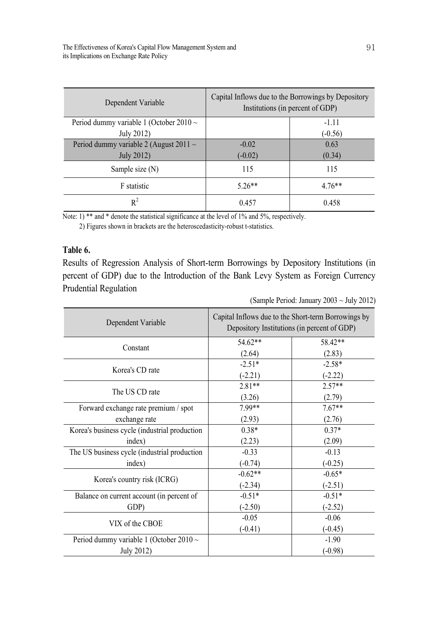| Dependent Variable                           | Capital Inflows due to the Borrowings by Depository<br>Institutions (in percent of GDP) |           |
|----------------------------------------------|-----------------------------------------------------------------------------------------|-----------|
| Period dummy variable 1 (October 2010 $\sim$ |                                                                                         | $-1.11$   |
| July 2012)                                   |                                                                                         | $(-0.56)$ |
| Period dummy variable 2 (August 2011 $\sim$  | $-0.02$                                                                                 | 0.63      |
| <b>July 2012)</b>                            | $(-0.02)$                                                                               | (0.34)    |
| Sample size (N)                              | 115                                                                                     | 115       |
| F statistic                                  | $5.26**$                                                                                | $4.76**$  |
| $R^2$                                        | 0.457                                                                                   | 0.458     |

2) Figures shown in brackets are the heteroscedasticity-robust t-statistics.

#### **Table 6.**

Results of Regression Analysis of Short-term Borrowings by Depository Institutions (in percent of GDP) due to the Introduction of the Bank Levy System as Foreign Currency Prudential Regulation

| Dependent Variable                            | Capital Inflows due to the Short-term Borrowings by<br>Depository Institutions (in percent of GDP) |           |
|-----------------------------------------------|----------------------------------------------------------------------------------------------------|-----------|
| Constant                                      | 54.62**                                                                                            | 58.42**   |
|                                               | (2.64)                                                                                             | (2.83)    |
| Korea's CD rate                               | $-2.51*$                                                                                           | $-2.58*$  |
|                                               | $(-2.21)$                                                                                          | $(-2.22)$ |
|                                               | $2.81**$                                                                                           | $2.57**$  |
| The US CD rate                                | (3.26)                                                                                             | (2.79)    |
| Forward exchange rate premium / spot          | 7.99**                                                                                             | $7.67**$  |
| exchange rate                                 | (2.93)                                                                                             | (2.76)    |
| Korea's business cycle (industrial production | $0.38*$                                                                                            | $0.37*$   |
| index)                                        | (2.23)                                                                                             | (2.09)    |
| The US business cycle (industrial production  | $-0.33$                                                                                            | $-0.13$   |
| index)                                        | $(-0.74)$                                                                                          | $(-0.25)$ |
|                                               | $-0.62**$                                                                                          | $-0.65*$  |
| Korea's country risk (ICRG)                   | $(-2.34)$                                                                                          | $(-2.51)$ |
| Balance on current account (in percent of     | $-0.51*$                                                                                           | $-0.51*$  |
| GDP)                                          | $(-2.50)$                                                                                          | $(-2.52)$ |
|                                               | $-0.05$                                                                                            | $-0.06$   |
| VIX of the CBOE                               | $(-0.41)$                                                                                          | $(-0.45)$ |
| Period dummy variable 1 (October 2010 $\sim$  |                                                                                                    | $-1.90$   |
| July 2012)                                    |                                                                                                    | $(-0.98)$ |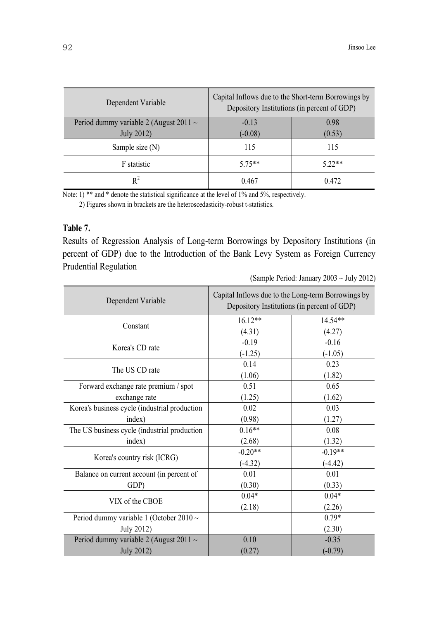| Dependent Variable                          | Capital Inflows due to the Short-term Borrowings by<br>Depository Institutions (in percent of GDP) |          |
|---------------------------------------------|----------------------------------------------------------------------------------------------------|----------|
| Period dummy variable 2 (August 2011 $\sim$ | $-0.13$                                                                                            | 0.98     |
| July 2012)                                  | $(-0.08)$                                                                                          | (0.53)   |
| Sample size (N)                             | 115                                                                                                | 115      |
| F statistic                                 | $575**$                                                                                            | $5.22**$ |
| $R^2$                                       | 0.467                                                                                              | 0.472    |

2) Figures shown in brackets are the heteroscedasticity-robust t-statistics.

## **Table 7.**

Results of Regression Analysis of Long-term Borrowings by Depository Institutions (in percent of GDP) due to the Introduction of the Bank Levy System as Foreign Currency Prudential Regulation

| (Sample Period: January 2003 ~ July 2012) |  |
|-------------------------------------------|--|
|-------------------------------------------|--|

| Dependent Variable                            | Capital Inflows due to the Long-term Borrowings by<br>Depository Institutions (in percent of GDP) |           |
|-----------------------------------------------|---------------------------------------------------------------------------------------------------|-----------|
| Constant                                      | $16.12**$                                                                                         | 14.54**   |
|                                               | (4.31)                                                                                            | (4.27)    |
| Korea's CD rate                               | $-0.19$                                                                                           | $-0.16$   |
|                                               | $(-1.25)$                                                                                         | $(-1.05)$ |
| The US CD rate                                | 0.14                                                                                              | 0.23      |
|                                               | (1.06)                                                                                            | (1.82)    |
| Forward exchange rate premium / spot          | 0.51                                                                                              | 0.65      |
| exchange rate                                 | (1.25)                                                                                            | (1.62)    |
| Korea's business cycle (industrial production | 0.02                                                                                              | 0.03      |
| index)                                        | (0.98)                                                                                            | (1.27)    |
| The US business cycle (industrial production  | $0.16**$                                                                                          | 0.08      |
| index)                                        | (2.68)                                                                                            | (1.32)    |
| Korea's country risk (ICRG)                   | $-0.20**$                                                                                         | $-0.19**$ |
|                                               | $(-4.32)$                                                                                         | $(-4.42)$ |
| Balance on current account (in percent of     | 0.01                                                                                              | 0.01      |
| GDP)                                          | (0.30)                                                                                            | (0.33)    |
| VIX of the CBOE                               | $0.04*$                                                                                           | $0.04*$   |
|                                               | (2.18)                                                                                            | (2.26)    |
| Period dummy variable 1 (October 2010 $\sim$  |                                                                                                   | $0.79*$   |
| July 2012)                                    |                                                                                                   | (2.30)    |
| Period dummy variable 2 (August 2011 ~        | 0.10                                                                                              | $-0.35$   |
| <b>July 2012)</b>                             | (0.27)                                                                                            | $(-0.79)$ |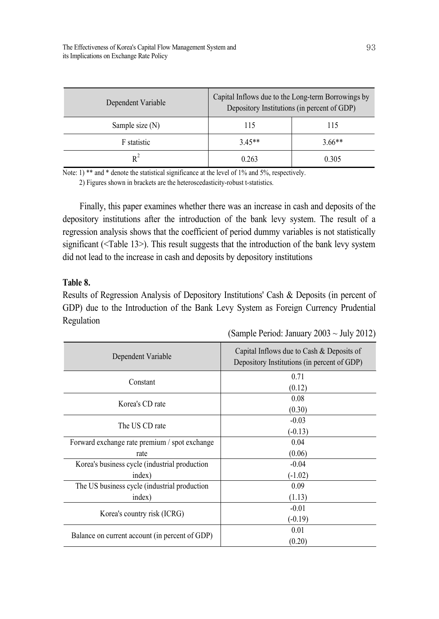| Dependent Variable | Capital Inflows due to the Long-term Borrowings by<br>Depository Institutions (in percent of GDP) |          |
|--------------------|---------------------------------------------------------------------------------------------------|----------|
| Sample size $(N)$  | 115                                                                                               | 115      |
| F statistic        | $3.45**$                                                                                          | $3.66**$ |
| $R^2$              | 0.263                                                                                             | 0.305    |

2) Figures shown in brackets are the heteroscedasticity-robust t-statistics.

Finally, this paper examines whether there was an increase in cash and deposits of the depository institutions after the introduction of the bank levy system. The result of a regression analysis shows that the coefficient of period dummy variables is not statistically significant (<Table 13>). This result suggests that the introduction of the bank levy system did not lead to the increase in cash and deposits by depository institutions

## **Table 8.**

Results of Regression Analysis of Depository Institutions' Cash & Deposits (in percent of GDP) due to the Introduction of the Bank Levy System as Foreign Currency Prudential Regulation

| Dependent Variable                             | Capital Inflows due to Cash & Deposits of<br>Depository Institutions (in percent of GDP) |
|------------------------------------------------|------------------------------------------------------------------------------------------|
| Constant                                       | 0.71                                                                                     |
|                                                | (0.12)                                                                                   |
| Korea's CD rate                                | 0.08                                                                                     |
|                                                | (0.30)                                                                                   |
| The US CD rate                                 | $-0.03$                                                                                  |
|                                                | $(-0.13)$                                                                                |
| Forward exchange rate premium / spot exchange  | 0.04                                                                                     |
| rate                                           | (0.06)                                                                                   |
| Korea's business cycle (industrial production  | $-0.04$                                                                                  |
| index)                                         | $(-1.02)$                                                                                |
| The US business cycle (industrial production   | 0.09                                                                                     |
| index)                                         | (1.13)                                                                                   |
| Korea's country risk (ICRG)                    | $-0.01$                                                                                  |
|                                                | $(-0.19)$                                                                                |
| Balance on current account (in percent of GDP) | 0.01                                                                                     |
|                                                | (0.20)                                                                                   |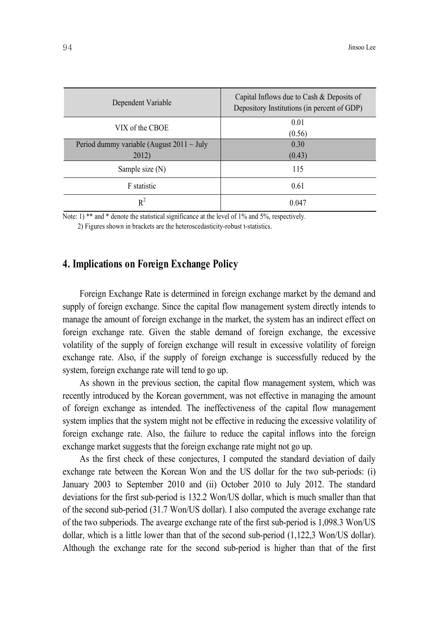| Dependent Variable                                      | Capital Inflows due to Cash & Deposits of<br>Depository Institutions (in percent of GDP) |
|---------------------------------------------------------|------------------------------------------------------------------------------------------|
| VIX of the CBOE                                         | 0.01<br>(0.56)                                                                           |
| Period dummy variable (August 2011 $\sim$ July<br>2012) | 0.30<br>(0.43)                                                                           |
| Sample size (N)                                         | 115                                                                                      |
| F statistic                                             | 0.61                                                                                     |
| $R^2$                                                   | 0.047                                                                                    |

2) Figures shown in brackets are the heteroscedasticity-robust t-statistics.

## **4. Implications on Foreign Exchange Policy**

Foreign Exchange Rate is determined in foreign exchange market by the demand and supply of foreign exchange. Since the capital flow management system directly intends to manage the amount of foreign exchange in the market, the system has an indirect effect on foreign exchange rate. Given the stable demand of foreign exchange, the excessive volatility of the supply of foreign exchange will result in excessive volatility of foreign exchange rate. Also, if the supply of foreign exchange is successfully reduced by the system, foreign exchange rate will tend to go up.

As shown in the previous section, the capital flow management system, which was recently introduced by the Korean government, was not effective in managing the amount of foreign exchange as intended. The ineffectiveness of the capital flow management system implies that the system might not be effective in reducing the excessive volatility of foreign exchange rate. Also, the failure to reduce the capital inflows into the foreign exchange market suggests that the foreign exchange rate might not go up.

As the first check of these conjectures, I computed the standard deviation of daily exchange rate between the Korean Won and the US dollar for the two sub-periods: (i) January 2003 to September 2010 and (ii) October 2010 to July 2012. The standard deviations for the first sub-period is 132.2 Won/US dollar, which is much smaller than that of the second sub-period (31.7 Won/US dollar). I also computed the average exchange rate of the two subperiods. The avearge exchange rate of the first sub-period is 1,098.3 Won/US dollar, which is a little lower than that of the second sub-period (1,122,3 Won/US dollar). Although the exchange rate for the second sub-period is higher than that of the first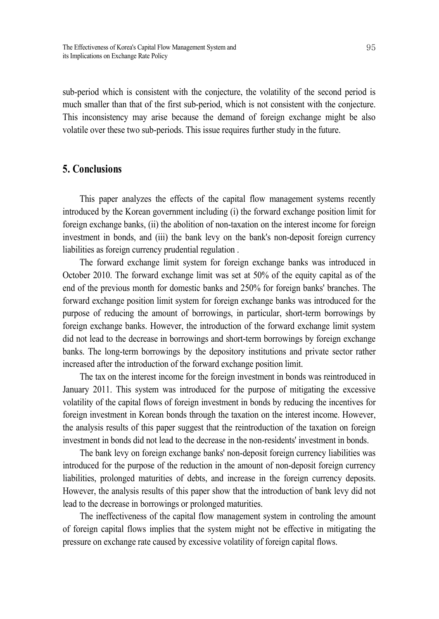sub-period which is consistent with the conjecture, the volatility of the second period is much smaller than that of the first sub-period, which is not consistent with the conjecture. This inconsistency may arise because the demand of foreign exchange might be also volatile over these two sub-periods. This issue requires further study in the future.

## **5. Conclusions**

This paper analyzes the effects of the capital flow management systems recently introduced by the Korean government including (i) the forward exchange position limit for foreign exchange banks, (ii) the abolition of non-taxation on the interest income for foreign investment in bonds, and (iii) the bank levy on the bank's non-deposit foreign currency liabilities as foreign currency prudential regulation .

The forward exchange limit system for foreign exchange banks was introduced in October 2010. The forward exchange limit was set at 50% of the equity capital as of the end of the previous month for domestic banks and 250% for foreign banks' branches. The forward exchange position limit system for foreign exchange banks was introduced for the purpose of reducing the amount of borrowings, in particular, short-term borrowings by foreign exchange banks. However, the introduction of the forward exchange limit system did not lead to the decrease in borrowings and short-term borrowings by foreign exchange banks. The long-term borrowings by the depository institutions and private sector rather increased after the introduction of the forward exchange position limit.

The tax on the interest income for the foreign investment in bonds was reintroduced in January 2011. This system was introduced for the purpose of mitigating the excessive volatility of the capital flows of foreign investment in bonds by reducing the incentives for foreign investment in Korean bonds through the taxation on the interest income. However, the analysis results of this paper suggest that the reintroduction of the taxation on foreign investment in bonds did not lead to the decrease in the non-residents' investment in bonds.

The bank levy on foreign exchange banks' non-deposit foreign currency liabilities was introduced for the purpose of the reduction in the amount of non-deposit foreign currency liabilities, prolonged maturities of debts, and increase in the foreign currency deposits. However, the analysis results of this paper show that the introduction of bank levy did not lead to the decrease in borrowings or prolonged maturities.

The ineffectiveness of the capital flow management system in controling the amount of foreign capital flows implies that the system might not be effective in mitigating the pressure on exchange rate caused by excessive volatility of foreign capital flows.